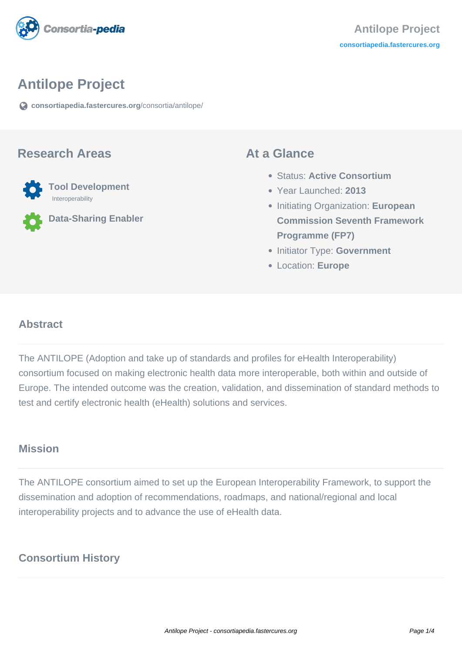

# **Antilope Project**

**[consortiapedia.fastercures.org](https://consortiapedia.fastercures.org/consortia/antilope/)**[/consortia/antilope/](https://consortiapedia.fastercures.org/consortia/antilope/)

#### **Research Areas**



**Data-Sharing Enabler**

#### **At a Glance**

- Status: **Active Consortium**
- Year Launched: **2013**
- **Initiating Organization: European Commission Seventh Framework Programme (FP7)**
- **Initiator Type: Government**
- Location: **Europe**

#### $\overline{a}$ **Abstract**

The ANTILOPE (Adoption and take up of standards and profiles for eHealth Interoperability) consortium focused on making electronic health data more interoperable, both within and outside of Europe. The intended outcome was the creation, validation, and dissemination of standard methods to test and certify electronic health (eHealth) solutions and services.

#### **Mission**

The ANTILOPE consortium aimed to set up the European Interoperability Framework, to support the dissemination and adoption of recommendations, roadmaps, and national/regional and local interoperability projects and to advance the use of eHealth data.

## **Consortium History**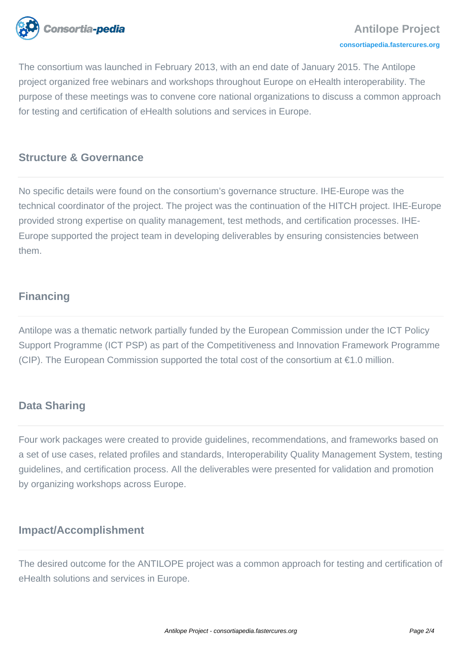

The consortium was launched in February 2013, with an end date of January 2015. The Antilope project organized free webinars and workshops throughout Europe on eHealth interoperability. The purpose of these meetings was to convene core national organizations to discuss a common approach for testing and certification of eHealth solutions and services in Europe.

## **Structure & Governance**

No specific details were found on the consortium's governance structure. IHE-Europe was the technical coordinator of the project. The project was the continuation of the HITCH project. IHE-Europe provided strong expertise on quality management, test methods, and certification processes. IHE-Europe supported the project team in developing deliverables by ensuring consistencies between them.

# **Financing**

Antilope was a thematic network partially funded by the European Commission under the ICT Policy Support Programme (ICT PSP) as part of the Competitiveness and Innovation Framework Programme (CIP). The European Commission supported the total cost of the consortium at  $\epsilon$ 1.0 million.

#### **Data Sharing**

Four work packages were created to provide guidelines, recommendations, and frameworks based on a set of use cases, related profiles and standards, Interoperability Quality Management System, testing guidelines, and certification process. All the deliverables were presented for validation and promotion by organizing workshops across Europe.

#### **Impact/Accomplishment**

The desired outcome for the ANTILOPE project was a common approach for testing and certification of eHealth solutions and services in Europe.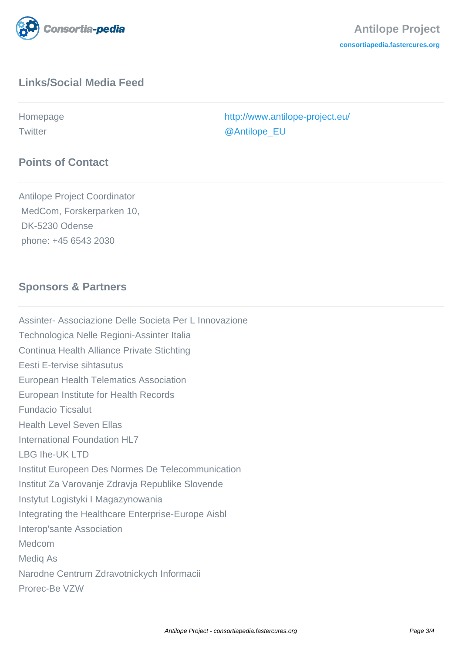

# **Links/Social Media Feed**

Homepage <http://www.antilope-project.eu/> Twitter [@Antilope\\_EU](http://twitter.com/Antilope_EU)

## Antilope Project Coordinator MedCom, Forskerparken 10, DK-5230 Odense

phone: +45 6543 2030

**Points of Contact**

# **Sponsors & Partners**

Assinter- Associazione Delle Societa Per L Innovazione Technologica Nelle Regioni-Assinter Italia Continua Health Alliance Private Stichting Eesti E-tervise sihtasutus European Health Telematics Association European Institute for Health Records Fundacio Ticsalut Health Level Seven Ellas International Foundation HL7 LBG Ihe-UK LTD Institut Europeen Des Normes De Telecommunication Institut Za Varovanje Zdravja Republike Slovende Instytut Logistyki I Magazynowania Integrating the Healthcare Enterprise-Europe Aisbl Interop'sante Association Medcom Mediq As Narodne Centrum Zdravotnickych Informacii Prorec-Be VZW